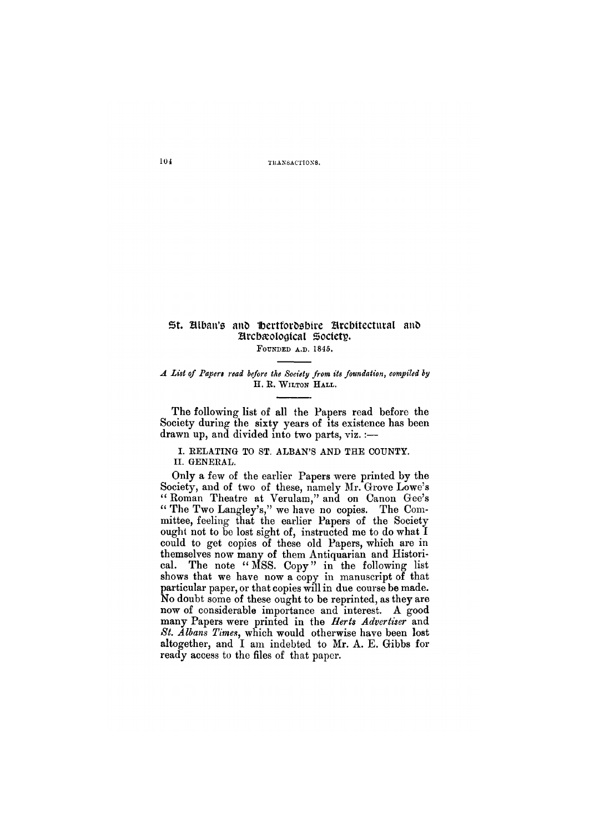# **St. Alban's and Hertfordshire Architectural and Archaeological Society**

**FOUNDED A.D. 1845 .** 

*A List of Papers read before the Society from its foundation} compiled by*  **H . R . WILTON HALL.** 

**I. RELATING TO ST. ALBAN'S AND THE COUNTY. II. GENERAL.** 

**The following list of all the Papers read before the Society during the sixty years of its existence has been drawn up, and divided into two parts, viz. :—** 

**Only a few of the earlier Papers were printed by the Society, and of two of these, namely Mr. Grove Lowe's " Roman Theatre at Verulam," and on Canon Gee's " The Two Langley's," we have no copies. The Committee, feeling that the earlier Papers of the Society ought not to be lost sight of, instructed me to do what I could to get copies of these old Papers, which are in themselves now many of them Antiquarian and Historical. The note " MSS. Copy" in the following list shows that we have now a copy in manuscript of that particular paper, or that copies will in due course be made. No doubt some of these ought to be reprinted, as they are now of considerable importance and interest. A good many Papers were printed in the** *Herts Advertiser* **and**  *St. Albans Times***, which would otherwise have been lost altogether, and I am indebted to Mr. A. E. Gibbs for ready access to the files of that paper.**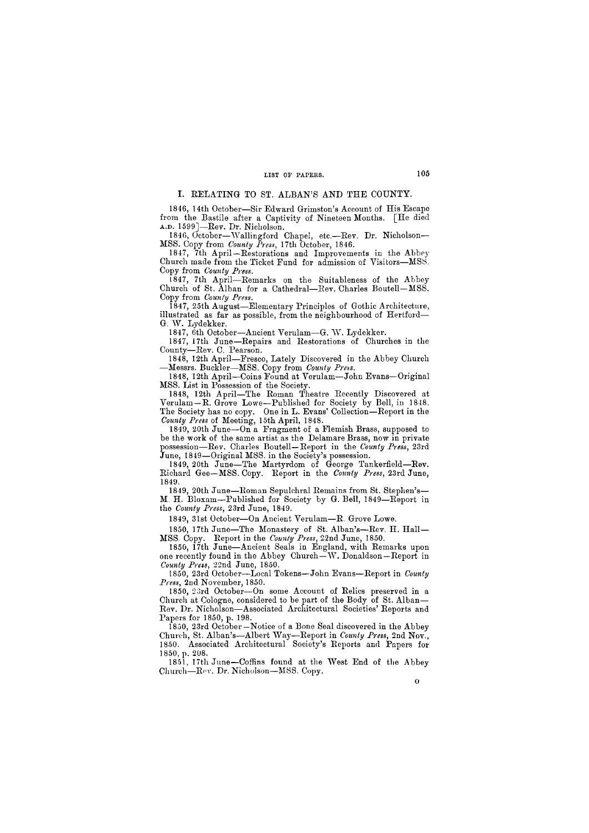#### **I. RELATING TO ST. ALBAN'S AND THE COUNTY.**

1846, 14th October—Sir Edward Grimston's Account of His Escape from the Bastile after a Captivity of Nineteen Months. [He died **A.D**. 1599]—Rev. Dr. Nicholson.

1846, October—Wallingford Chapel, etc.—Rev. Dr. Nicholson— MSS. Copy from *County Press,* 17th October, 1846.

1847, 7th April—Restorations and Improvements in the Abbey Church made from the Ticket Fund for admission of Visitors—MSS. Copy from *County Press.* 

1847, 7th April—Remarks on the Suitableness of the Abbey Church of St. Alban for a Cathedral—Rev. Charles Boutell—MSS. Copy from *County Press.* 

1847, 25th August—Elementary Principles of Gothic Architecture, illustrated as far as possible, from the neighbourhood of Hertford— **G. W. Lydekker.** 

1847, 6th October—Ancient Verulam—G. W. Lydekker.

1847, 17th June—Repairs and Restorations of Churches in the County—Rev. C. Pearson.

1848, 12th April—Fresco, Lately Discovered in the Abbey Church —Messrs. Buckler—MSS. Copy from *County Press.* 

1848, 12th April—Coins Found at Verulam—John Evans—Original MSS. List in Possession of the Society.

1848, 12th April—The Roman Theatre Recently Discovered at Verulam—R. Grove Lowe—Published for Society by Bell, in 1848. The Society has no copy. One in L. Evans' Collection—Report in the *County Press* of Meeting, 15th April, 1848.

1849, 20th June—On a Fragment of a Flemish Brass, supposed to be the work of the same artist as the Delamare Brass, now in private possession—Rev. Charles Boutell—Report in the *County Press*, 23rd June, 1849—Original MSS. in the Society's possession.

1849, 20th June—The Martyrdom of George Tankerfield—Rev. Richard Gee—MSS. Copy. Report in the *County Press*, 23rd June, 1849.

1849, 20th June—Roman Sepulchral Remains from St. Stephen's— M. H, Bloxam—Published for Society by G.Bell, 1849—Report in the *County Press*, 23rd June, 1849.

1849, 31st October—On Ancient Verulam—R. Grove Lowe.

1850, 17th June—The Monastery of St. Alban's—Rev. H. Hall— MSS. Copy. Report in the *County Press*, 22nd June, 1850.

1850, 17th June—Ancient Seals in England, with Remarks upon one recently found in the Abbey Church—W. Donaldson—Report in *County Press*, 22nd June, 1850.

1850, 23rd October—Local Tokens—John Evans—Report in *County Press*, 2nd November, 1850.

1850, 23rd October—On some Account of Relics preserved in a Church at Cologne, considered to be part of the Body of St. Alban— Rev. Dr. Nicholson—Associated Architectural Societies' Reports and Papers for 1850, p. 198.

1850, 23rd October—Notice of a Bone Seal discovered in the Abbey

Church, St. Alban's—Albert Way—Report in *County Press*, 2nd Nov., 1850. Associated Architectural Society's Reports and Papers for 1850, p. 208.

1851, 17th June—Coffins found at the West End of the Abbey Church—Rev. Dr. Nicholson—MSS. Copy.

**o**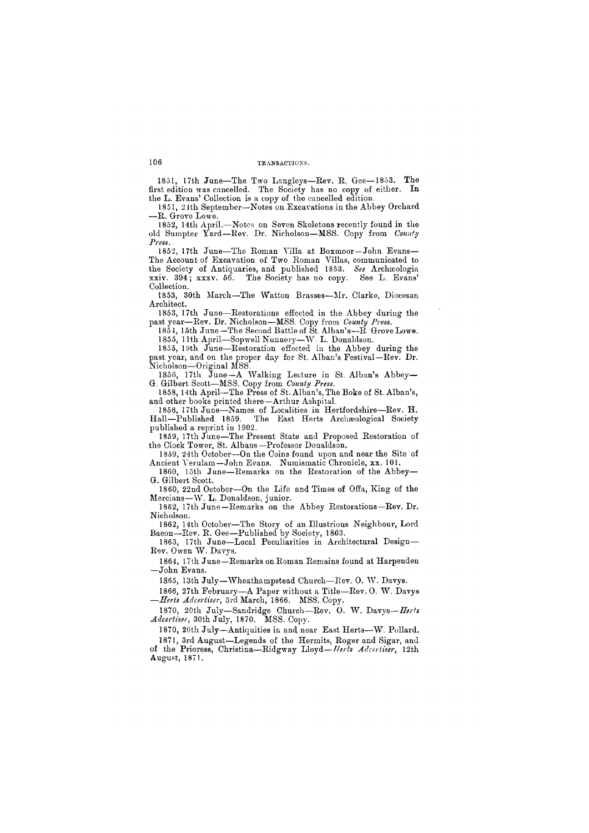1851, 17th June—The Two Langleys—Rev. R. Gee—1853. The first edition was cancelled. The Society has no copy of either. In the L. Evans' Collection is a copy of the cancelled edition.

1851, 24th September—Notes on Excavations in the Abbey Orchard —R. Grove Lowe.

1852, 14th April.—Notes on Seven Skeletons recently found in the old Sumpter Yard—Rev. Dr. Nicholson—MSS. Copy from *County Press.* 

1852, 17th June—The Roman Villa at Boxmoor—John Evans— The Account of Excavation of Two Roman Villas, communicated to the Society of Antiquaries, and published 1853. *See* Archaeologia xxiv. 394; xxxv. 56. The Society has no copy. See L. Evans' Collection.

1853, 30th March—The Watton Brasses—Mr. Clarke, Diocesan Architect.

1853, 17th June—Restorations effected in the Abbey during the past year—Rev. Dr. Nicholson—MSS. Copy from *County Press.* 

1854, 15th June—The Second Battle of St. Alban's—R Grove Lowe. 1855, 11th April—Sopwell Nunnery—W, L. Donaldson.

1855, 19th June—Restoration effected in the Abbey during the past year, and on the proper day for St. Alban's Festival—Rev. Dr. Nicholson—Original MSS.

1856, 17th June—A Walking Lecture in St. Alban's Abbey— G. Gilbert Scott—MSS. Copy from *County Press.* 

1858, 14th April—The Press of St. Alban's, The Boke of St. Alban's, and other books printed there—Arthur Ashpital.

1858, 17th June—Names of Localities in Hertfordshire—Rev. H. Hall—Published 1859. The East Herts Archaeological Society published a reprint in 1902.

1859, 17th June—The Present State and Proposed Restoration of the Clock Tower, St. Albans—Professor Donaldson.

1859, 24th October—On the Coins found upon and near the Site of Ancient Verulam—John Evans. Numismatic Chronicle, xx. 101.

1860, 15th June—Remarks on the Restoration of the Abbey— G. Gilbert Scott.

1860, 22nd October—On the Life and Times of Offa, King of the Mercians—W. L. Donaldson, junior.

1862, 17th June—Remarks on the Abbey Restorations—Rev. Dr. Nicholson.

1862, 14th October—The Story of an Illustrious Neighbour, Lord Bacon—Rev. R. Gee—Published by Society, 1863.

1863, 17th June—Local Peculiarities in Architectural Design— Rev. Owen W. Davys.

1864, 17th June—Remarks on Roman Remains found at Harpenden —John Evans.

1865, 13th July—Wheathampstead Church—Rev. O. W. Davys.

1866, 27th February—A Paper without a Title—Rev. O. W. Davys *—Herts Advertiser,* 3rd March, 1866. MSS. Copy.

1870, 20th July—Sandridge Church—Rev. O. W. Davys—*Herts Advertiser,* 30th July, 1870. MSS. Copy.

1870, 20th July—Antiquities in and near East Herts—W. Pollard. 1871, 3rd August—Legends of the Hermits, Roger and Sigar, and of the Prioress, Christina—Ridgway Lloyd—*Herts Advertiser*, 12th August, 1871.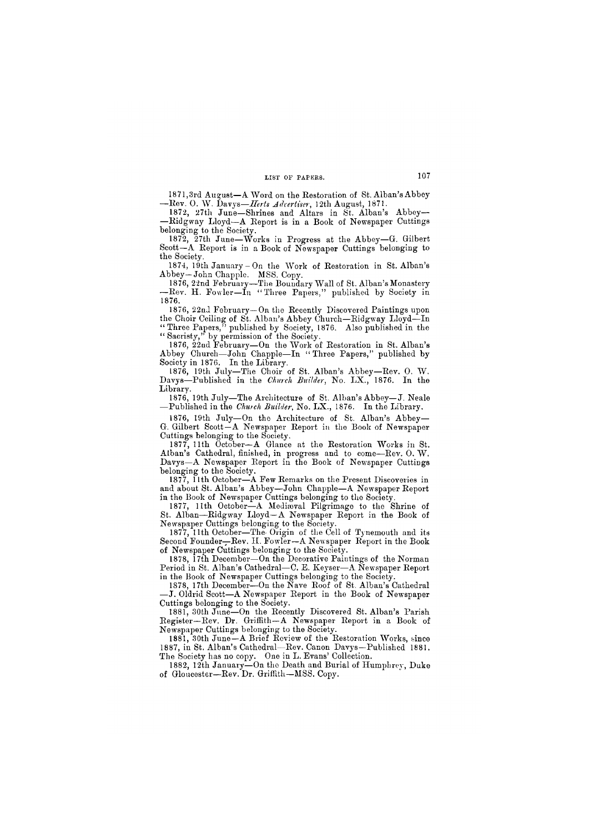1871,3rd August—A Word on the Restoration of St. Alban's Abbey —Rev. O. W. Davys—*Herts Advertiser*, 12th August, 1871.

1872, 27th June—Shrines and Altars in St. Alban's Abbey— —Ridgway Lloyd—A Report is in a Book of Newspaper Cuttings belonging to the Society.

1872, 27th June—Works in Progress at the Abbey—G. Gilbert Scott—A Report is in a Book of Newspaper Cuttings belonging to the Society.

1874, 19th January - On the Work of Restoration in St. Alban's Abbey—John Chapple. MSS. Copy.

1876, 22nd February—The Boundary Wall of St. Alban's Monastery —Rev. H. Fowler—In "Three Papers," published by Society in 1876.

1876, 22nd February—On the Recently Discovered Paintings upon the Choir Ceiling of St. Alban's Abbey Church—Ridgway Lloyd—In " Three Papers," published by Society, 1876. Also published in the " Sacristy," by permission of the Society.

1876, 22nd February—On the Work of Restoration in St. Alban's Abbey Church—John Chapple—In "Three Papers," published by Society in 1876. In the Library.

1876, 19th July—The Choir of St. Alban's Abbey—Rev. O. W. Davys—Published in the *Church Builder*, No. LX., 1876. In the Library.

1876, 19th July—The Architecture of St. Alban's Abbey—J. Neale —Published in the *Church Builder*, No. LX., 1876. In the Library.

1876, 19th July—On the Architecture of St. Alban's Abbey— G. Gilbert Scott-A Newspaper Report in the Book of Newspaper Cuttings belonging to the Society.

1877, 11th October—A Glance at the Restoration Works in St. Alban's Cathedral, finished, in progress and to come—Rev. O. W. Davys—A Newspaper Report in the Book of Newspaper Cuttings belonging to the Society.

1877, 11th October—A Few Remarks on the Present Discoveries in and about St. Alban's Abbey—John Chapple—A Newspaper Report in the Book of Newspaper Cuttings belonging to the Society.

1877, 11th October—A Mediaeval Pilgrimage to the Shrine of St. Alban—Ridgway Lloyd—A Newspaper Report in the Book of Newspaper Cuttings belonging to the Society.

1877, 11th October—The. Origin of the Cell of Tynemouth and its Second Founder—Rev. H. Fowler—A Newspaper Report in the Book of Newspaper Cuttings belonging to the Society.

1878, 17th December—On the Decorative Paintings of the Norman Period in St. Alban's Cathedral—C. E. Keyser—A Newspaper Report in the Book of Newspaper Cuttings belonging to the Society.

1878, 17th December—On the Nave Roof of St. Alban's Cathedral —J. Oldrid Scott—A Newspaper Report in the Book of Newspaper Cuttings belonging to the Society.

1881, 30th June—On the Recently Discovered St. Alban's Parish Register—Rev. Dr. Griffith—A Newspaper Report in a Book of Newspaper Cuttings belonging to the Society.

1881, 30th June—A Brief Review of the Restoration Works, since 1887, in St. Alban's Cathedral—Rev. Canon Davys—Published 1881. The Society has no copy. One in L. Evans' Collection.

1882, 12th January—On the Death and Burial of Humphrey, Duke of Gloucester—Rev. Dr. Griffith—MSS. Copy.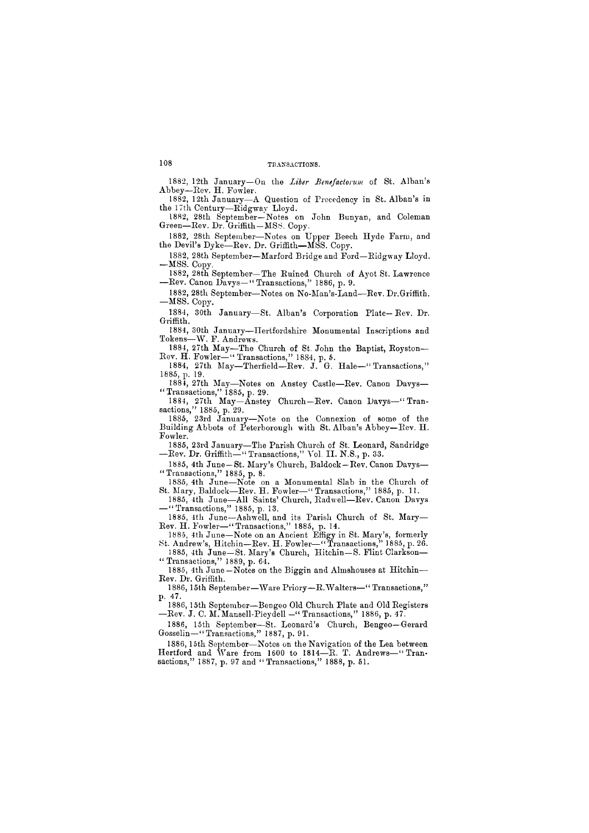1882, 12th **January—**On **the** *Liber Benefactorum* **of St. Alban's Abbey—Rev. H. Fowler.** 

1882, 12th **January—A Question of Precedency in St. Alban's in the 17th Century—Ridgway Lloyd.** 

1882, 28th **September—Notes on John Bunyan, and Coleman Green—Rev. Dr. Griffith-MSS. Copy.** 

1882, 28th **September—Notes on Upper Beech Hyde Farm, and the Devil's Dyke—Rev. Dr. Griffith—MSS. Copy.** 

1884, 30th January-St. Alban's Corporation Plate-Rev. Dr. Griffith.

1882, 28th **September—Marford Bridge and Ford—Ridgway Lloyd. —MSS. Copy.** 

1884, 27th May—Notes on Anstey Castle—Rev. Canon Davys— "Transactions," 1885, p. 29.

1884, 27th May-Anstey Church-Rev. Canon Davys-"Transactions," 1885, p. 29.

1882, 28th September—The Ruined Church of Ayot St. Lawrence —Rev. Canon Davys—" Transactions," 1886, p. 9.

1882, 28th **September—Notes on No-Man's-Land—Rev. Dr.Griffith. —MSS. Copy.** 

1884, 30th January—Hertfordshire Monumental Inscriptions and Tokens—W. F. Andrews.

1884, 27th May—The Church of St. John the Baptist, Royston— Rev. H. Fowler—" Transactions," 1884, p. 5.

1884, 27th May—Therfield—Rev. J. G. Hale—" Transactions," 1885, p. 19.

1886, 15th September—Notes on the Navigation of the Lea between Hertford and Ware from 1600 to 1814—R. T. Andrews—" Transactions," 1887, p. 97 and "Transactions," 1888, p. 51.

1885, 23rd January—Note on the Connexion of some of the Building Abbots of Peterborough with St. Alban's Abbey—Rev. H. Fowler.

1885, 23rd January—The Parish Church of St. Leonard, Sandridge —Rev. Dr. Griffith—" Transactions," Vol. **II. N.S., p.** 33.

1885, 4th June—St. Mary's Church, Baldock —Rev. Canon Davys— " Transactions," 1885, p. 8.

1885, 4th June—Note on a Monumental Slab in the Church of St. Mary, Baldock—Rev. H. Fowler—" Transactions," 1885, p. 11.

1885, 4th June—All Saints' Church, Radwell—Rev. Canon Davys —"Transactions," 1885, p. 13.

1885, 4th June—Ashwell, and its Parish Church of St. Mary— Rev. H. Fowler—"Transactions," 1885, p. 14.

1885, 4th June—Note on an Ancient Effigy in St. Mary's, formerly St. Andrew's, Hitchin—Rev. H. Fowler—" Transactions," 1885, p. 26.

1885, 4th June—St. Mary's Church, Hitchin—S. Flint Clarkson— "Transactions," 1889, p. 64.

1885, 4th June—Notes on the Biggin and Almshouses at Hitchin— Rev. Dr. Griffith.

1886, 15th September—Ware Priory—R.Walters—"Transactions," p. 47.

1886, 15th September—Bengeo Old Church Plate and Old Registers —Rev. J. C. M. Mansell-Pleydell-" Transactions," 1886, p. 47.

1886, 15th September—St. Leonard's Church, Bengeo—Gerard Gosselin—"Transactions," 1887, p. 91.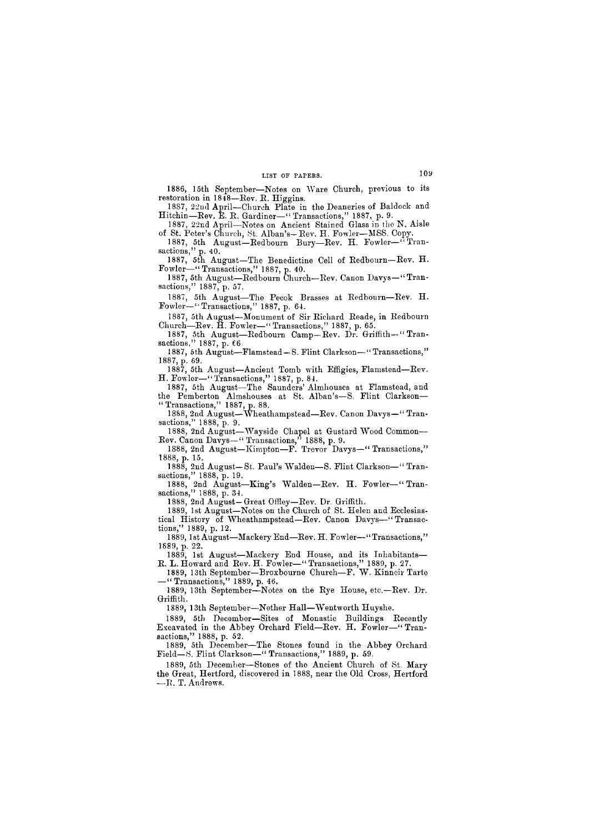1886, 15th September—Notes on Ware Church, previous to its restoration in 1848—Rev. R. Higgins.

1887, 22nd April—Church Plate in the Deaneries of Baldock and Hitchin—Rev. E. R. Gardiner—" Transactions," 1887, p. 9.

1887, 22nd April—Notes on Ancient Stained Glass in the N. Aisle of St. Peter's Church, St. Alban's- Rev. H. Fowler—MSS. Copy.

 $1887$ , 5th August–Redbourn Bury–Rev. H. Fowler– $``$ Transactions," p. 40.

1887, 5th August—Redbourn Camp—Rev. Dr. Griffith—" Transactions," 1887,  $\overline{p}$ .  $\overline{6}$ .

1887, 5th **August—**The Benedictine Cell of Redbourn—Rev. **H.**  Fowler—" Transactions," 1887, p. 40.

1887, 5th August—Redbourn Church—Rev. Canon **Davys—**"Transactions," 1887, p. 57.

1887, 5th August—The Pecok Brasses at Redbourn—Rev. H. Fowler—" Transactions," 1887, p. 64.

1887, 5th August—Monument of Sir Richard Reade, in Redbourn Church—Rev. H. Fowler—" Transactions," 1887, p. 65.

1888, 2nd August—King's Walden—Rev. H. Fowler—" Transactions," 1888, p. 34.

1887, 6th August—Flamstead—S. Flint Clarkson—"Transactions," 1887, p. 69.

1887, 5th August—Ancient Tomb with Effigies, Flamstead—Rev. H. Fowler—"Transactions," 1887, p. 84.

1887, 5th August—The Saunders' Almhouses at Flamstead, and the Pemberton Almshouses at St. Alban's—S. Flint Clarkson— "Transactions," 1887, p. 88.

1889, 5th December—The Stones found in the Abbey Orchard Field-S. Flint Clarkson-" Transactions," 1889, p. 59.

1888, 2nd August—Wheathampstead—Rev. Canon Davys—" Transactions," 1888, p. 9.

1888, 2nd August—Wayside Chapel at Gustard Wood Common— Rev. Canon Davys—" Transactions," 1888, p. 9.

1888, 2nd **August—Kimpton—F. Trevor Davys—"Transactions,"**  1888, p. 15.

1888, 2nd **August—St. Paul's Walden—S. Flint Clarkson—" Transactions,"** 1888, p. 19.

1888, 2nd **August-Great Offley—Rev. Dr. Griffith.** 

1889, 1st August—Notes on the Church of St. Helen and Ecclesiastical History of Wheathampstead—Rev. Canon Davys—" Transactions," 1889, p. 12.

1889, 1st August—Mackery End—Rev. H. Fowler—"Transactions," 1889, p. 22.

1889, 1st August—Mackery End House, and its Inhabitants— R. L. Howard and Rev. H. Fowler—" Transactions," 1889, p. 27.

1889, 13th September—Broxbourne Church—F. W. Kinneir Tarte —"Transactions," 1889, p. 46.

1889, 13th September—Notes on the Rye House, etc.—Rev. Dr. Griffith.

1889, 13th September—Nether Hall—Wentworth Huyshe.

1889, 5th December—Sites of Monastic Buildings Recently Excavated in the Abbey Orchard Field—Rev. H. Fowler—"Transactions," 1888, p. 52.

109

1889, 5th December—Stones of the Ancient Church of St. Mary the Great, Hertford, discovered in 1888, near the Old Cross, Hertford —R. T. Andrews.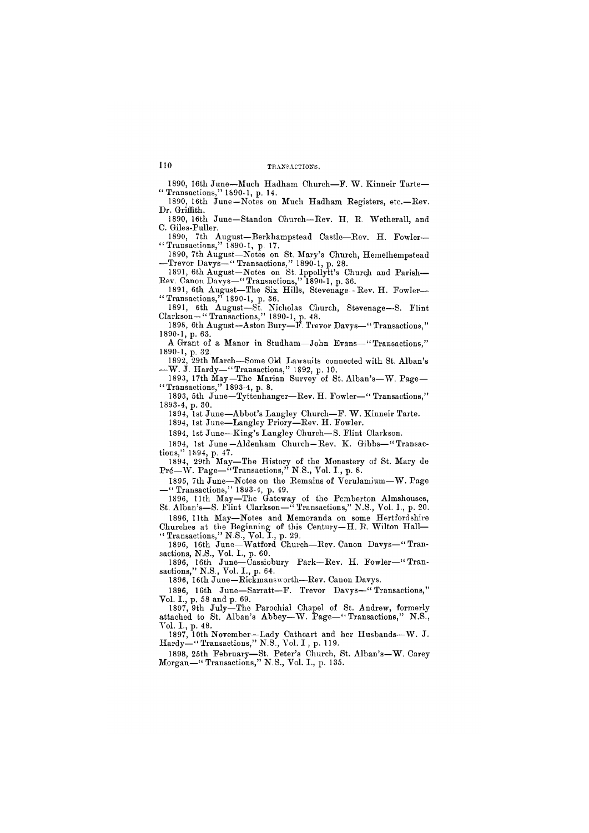1890, 16th June—Notes on Much Hadham Registers, etc.—Rev. Dr. Griffith.

### 110 TRANSACTIONS.

1890, 16th June—Much Hadham Church—F. W. Kinneir Tarte— " Transactions," 1890-1, p. 14.

1890, 16th June—Standon Church—Rev. H. R. Wetherall, and C. Giles-Puller.

1891, 6th August—Notes on St. Ippollytt's Church and Parish— Rev. Canon Davys—" Transactions," 1890-1, **p.** 36.

1891, 6th August—The Six Hills, Stevenage - Rev. H. Fowler— "Transactions," 1890-1, p. 36.

1890, 7th August—Berkhampstead Castle—Rev. H. Fowler— "Transactions," 1890-1, **p.** 17.

1890, 7th August—Notes on St. Mary's Church, Hemelhempstead —Trevor Davys—" Transactions," 1890-1, p. 28.

1891, 6th August—St. Nicholas Church, Stevenage—S. Flint Clarkson—" Transactions," 1890-1, p. 48.

1898, 6th August—Aston Bury—F. Trevor Davys—" Transactions," 1890-1, p. 63.

1896, 11th May—The Gateway of the Pemberton Almshouses, St. Alban's-S. Flint Clarkson-" Transactions," N.S., Vol. I., p. 20.

A Grant of a Manor in Studham—John Evans—"Transactions," 1890-1, p. 32.

1892, 29th March—Some Old Lawsuits connected with St. Alban's —W. J. Hardy—"Transactions," 1892, p. 10.

1893, 17th May—The Marian Survey of St. Alban's—W. Page— "Transactions," 1893-4, p. 8.

1893, 5th June—Tyttenhanger—Rev. H. Fowler—"Transactions," 1893-4, p. 30.

1894, 1st June—Abbot's Langley Church—F. W. Kinneir Tarte.

1894, 1st June—Langley Priory—Rev. H. Fowler.

1894, 1st June—King's Langley Church—S. Flint Clarkson.

1894, 1st June—Aldenham Church—Rev. K. Gibbs—"Transactions," 1894, p. 47.

1894, 29th May—The History of the Monastery of St. Mary de Pre—W. Page—"Transactions," N.S., Vol. I., p. 8.

1895, 7th June—Notes on the Remains of Verulamium—W. Page —"Transactions," 1893-4, p. 49.

1896, 11th May—Notes and Memoranda on some Hertfordshire Churches at the Beginning of this Century—H. R. Wilton Hall— " Transactions," N.S., Vol. I., p. 29.

1896, 16th June—Watford Church—Rev. Canon Davys—"Transactions, N.S., Vol. I., p. 60.

1896, 16th June—Cassiobury Park—Rev. H. Fowler—"Transactions," N.S., Vol. I., p. 64.

1896, 16th June—Rickmansworth—Rev. Canon Davys.

1896, 16th June—Sarratt—F. Trevor Davys—" Transactions," Vol. I., p. 58 and p. 69.

1897, 9th July—The Parochial Chapel of St. Andrew, formerly attached to St. Alban's Abbey—W. Page—"Transactions," N.S., Vol. I., p. 48.

1897, 10th November—Lady Cathcart and her Husbands—W. J. Hardy—" Transactions," N.S., Vol. I , p. 119. 1898, 25th February—St. Peter's Church, St. Alban's—W. Carey Morgan—" Transactions," N.S., Vol. I., p. 135.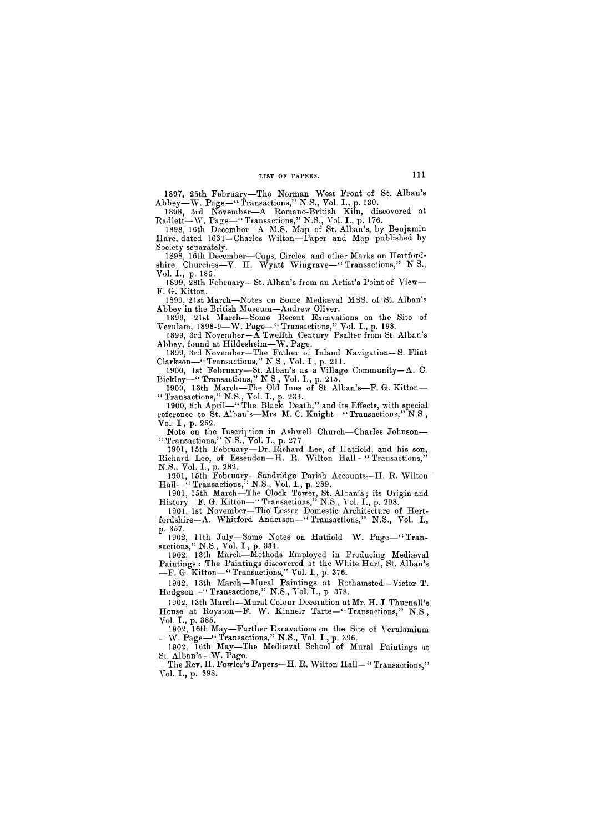1897, 25th February—The Norman West Front of St. Alban's Abbey—W. Page—" Transactions," N.S., Vol. I., p. 130.

1898, 3rd November—A Romano-British Kiln, discovered at Radlett—W. Page—" Transactions," N.S., Vol. I., p. 176.

1898, 16th December—A M.S. Map of St. Alban's, by Benjamin Hare, dated 1634—Charles Wilton—Paper and Map published by Society separately.

1898, 16th December—Cups, Circles, and other Marks on Hertfordshire Churches—V. H. Wyatt Wingrave—" Transactions," N S., Vol. I., p. 185.

1899, 28th February—St. Alban's from an Artist's Point of View— F. G. Kitton.

1899, 21st March—Notes on Some Mediaeval MSS. of St. Alban's Abbey in the British Museum—Andrew Oliver.

Note on the Inscription in Ashwell Church—Charles Johnson— " Transactions," N.S., Vol. I., p. 277

1899, 21st March—Some Recent Excavations on the Site of Verulam, 1898-9—W. Page—" Transactions," Vol. I., p. 198.

1899, 3rd November—A Twelfth Century Psalter from St. Alban's Abbey, found at Hildesheim—W. Page.

1899. 3rd November—The Father of Inland Navigation—S. Flint Clarkson—"Transactions," N S , Vol. I , p. 211.

1900, 1st February—St. Alban's as a Village Community—A. C. Bickley—" Transactions," N S , Vol. I., p. 215.

1900, 13th March—The .Old Inns of St. Alban's—F. G. Kitton— " Transactions," N.S., Vol. I., p. 233.

1900, 8th April—" The Black Death," and its Effects, with special reference to St. Alban's-Mrs M. C. Knight-"Transactions," N.S, Vol. I , p. 262.

1901, 15th February—Dr. Richard Lee, of Hatfield, and his son, Richard Lee, of Essendon—H. R. Wilton Hall - " Transactions," N.S., Vol. I., p. 282.

1901, 15th February—Sandridge Parish Accounts—H. R. Wilton Hall—" Transactions," N.S., Vol. I., p. 289.

1901, 15th March—The Clock Tower, St. Alban's ; its Origin and History—F. G. Kitton—" Transactions," N.S., Vol. I., p. 298.

1901, 1st November—The Lesser Domestic Architecture of Hertfordshire—A. Whitford Anderson—"Transactions," N.S., Vol. I., p. 357.

1902, 11th July—Some Notes on Hatfield—W. Page—" Transactions," N.S , Vol. I., p. 334.

1902, 13th March—Methods Employed in Producing Mediaeval Paintings : The Paintings discovered at the White Hart, St. Alban's —F. G. Kitton—" Transactions," Vol. I., p. 376.

1902, 13th March—Mural Paintings at Rothamsted—Victor T. Hodgson—"Transactions," N.S., Vol. I., p 378.

1902, 13th March—Mural Colour Decoration at Mr. H. J. Thurnall's House at Royston—F. W. Kinneir Tarte—"Transactions," N.S., Vol. I., p. 385.

1902, 16th May—Further Excavations on the Site of Verulamium

111

—W- Page—" Transactions," N.S., Vol. I., p. 396.

1902, 16th May—The Mediaeval School of Mural Paintings at St. Alban's—W. Page.

The Rev. H. Fowler's Papers—H. R. Wilton Hall— " Transactions," Vol. I., p. 398.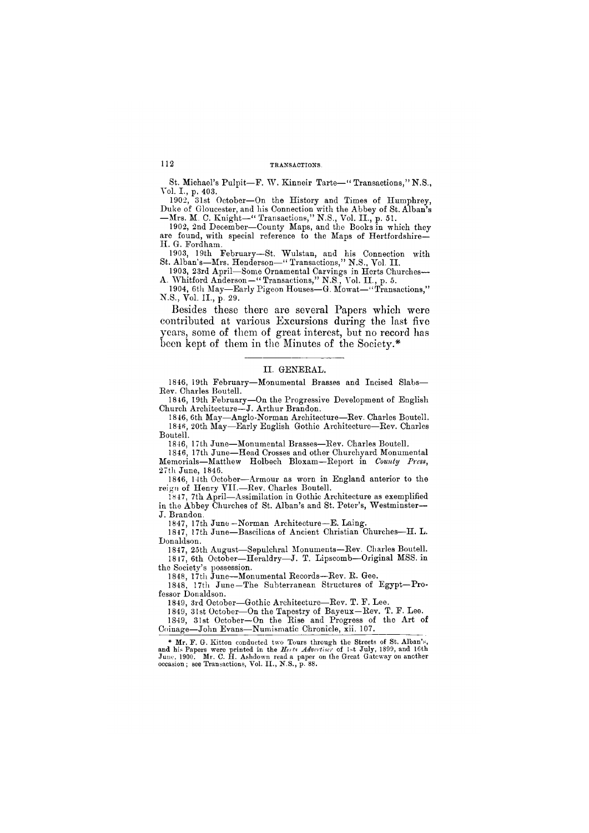**St. Michael's Pulpit—F. W. Kinneir Tarte—" Transactions," N.S.,**  Vol. I., p. 403.

1902, 31st October—On the History and Times of Humphrey, Duke of Gloucester, and his Connection with the Abbey of St. Alban's —Mrs. M. C. Knight—" Transactions," N.S., Vol. II., p. 51.

1902, 2nd **December—County Maps, and the Books in which they are found, with special reference to the Maps of Hertfordshire— H.** G. **Fordham.** 

1903, 19th February—St. Wulstan, and his Connection with **St.** Alban's—Mrs. Henderson—" Transactions," N.S., Vol. II.

1903, 23rd April—Some Ornamental Carvings in Herts Churches— A. Whitford Anderson—" Transactions," N.S., Vol. II., p. 5.

1904, 6th May—Early Pigeon Houses—G. Mowat—"Transactions," N.S., Vol. II., p. 29.

**Besides these there are several Papers which were contributed at various Excursions during the last five years, some of them of great interest, but no record has been kept of them in the Minutes of the Society.\*** 

#### II. GENERAL.

1846, 19th February—Monumental Brasses and Incised Slabs— Rev. Charles Boutell.

1846, 19th February—On the Progressive Development of English Church Architecture—J. Arthur Brandon.

1846, 6th May—Anglo-Norman Architecture—Rev. Charles Boutell. 1846, 20th May—Early English Gothic Architecture—Rev. Charles Boutell.

1846, 17th June—Monumental Brasses—Rev. Charles Boutell.

1846, 17th June—Head Crosses and other Churchyard Monumental Memorials—Matthew Holbech Bloxam—Report in *County Press,*  27th June, 1846.

1846, 14th October—Armour as worn in England anterior to the reign of Henry VIL—Rev. Charles Boutell.

1847, 7th April—Assimilation in Gothic Architecture as exemplified in the Abbey Churches of St. Alban's and St. Peter's, Westminster— J. Brandon.

1847, 17th June—Norman Architecture—E. Laing.

1847, 17th June—Bascilicas of Ancient Christian Churches—H. L. Donaldson.

1847, 25th August—Sepulchral Monuments—Rev. Charles Boutell. 1847, 6th October—Heraldry—J. T. Lipscomb—Original MSS. in the Society's possession.

1848, 17th June—Monumental Records—Rev. R. Gee.

1848, 17th June—The Subterranean Structures of Egypt—Professor Donaldson.

1849, 3rd October—Gothic Architecture—Rev. T. F. Lee.

1849, 31st October—On the Tapestry of Bayeux—Rev. T. F. Lee. 1849, 31st October—On the Rise and Progress of the Art of

Coinage—John Evans—Numismatic Chronicle, xii. 107.

**\* Mr. F. G. Kitton conducted two Tours through the Streets of St. Alban's, and his Papers were printed in the** *Herts Advertiser* **of 1st July, 1899, and 16th**  June, 1900. Mr. C. H. Ashdown read a paper on the Great Gateway on another **occasion; see Transactions, Vol. II., N.S., p. 88.**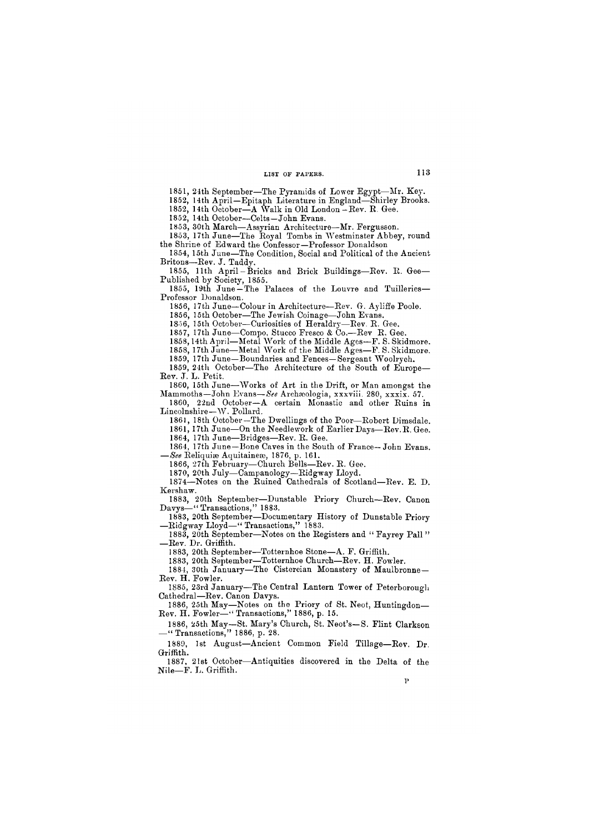1851, 24th September—The Pyramids of Lower Egypt—Mr. Key.

1852, 14th April—Epitaph Literature in England—Shirley Brooks.

1852, 14th October—A Walk in Old London-Rev. R. Gee.

1852, 14th October—Celts—John Evans.

1853, 30th March—Assyrian Architecture—Mr. Fergusson.

1853, 17th June—The Royal Tombs in Westminster Abbey, round the Shrine of Edward the Confessor—Professor Donaldson

1854, 15th June—The Condition, Social and Political of the Ancient Britons—Rev. J. Taddy.

1855, 11th April-Bricks and Brick Buildings—Rev. R. Gee— Published by Society, 1855.

1859, 24th October—The Architecture of the South of Europe— Rev. J. L. Petit.

1855, 19th June—The Palaces of the Louvre and Tuilleries— Professor Donaldson.

1856, 17th June—Colour in Architecture—Rev. G. Ayliffe Poole.

1856, 15th October—The Jewish Coinage—John Evans.

1856, 15th October—Curiosities of Heraldry—Rev. R. Gee.

1857, 17th June—Compo, Stucco Fresco & Co.—Rev R. Gee.

1883, 20th September—Dunstable Priory Church—Rev. Canon Davys—"Transactions," 1883.

1858,14th April—Metal Work of the Middle Ages—F. S. Skidmore.

1858, 17th June—Metal Work of the Middle Ages—F. S. Skidmore.

1883, 20th September—Notes on the Registers and "Fayrey Pall" —Rev. Dr. Griffith.

1859, 17th June—Boundaries and Fences—Sergeant Woolrych.

1860, 15th June—Works of Art in the Drift, or Man amongst the Mammoths—John Evans—*See* Archaeologia, xxxviii. 280, xxxix. 57.

1860, 22nd October—A certain Monastic and other Ruins in Lincolnshire—W. Pollard.

1861, 18th October—The Dwellings of the Poor—Robert Dimsdale.

1861, 17th June—On the Needlework of Earlier Days—Rev.R. Gee. 1864, 17th June—Bridges—Rev. R. Gee.

1864, 17th June—Bone Caves in the South of France—John Evans. *—See* Reliquiae Aquitaineae, 1876, p. 161.

1866, 27th February—Church Bells—Rev. R. Gee.

1870, 20th July—Campanology—Ridgway Lloyd.

1874—Notes on the Ruined Cathedrals of Scotland—Rev. E. D. Kershaw.

1883, 20th September—Documentary History of Dunstable Priory —Ridgway Lloyd—" Transactions," 1883.

1883, 20th September—Totternhoe Stone—A. F. Griffith.

1883, 20th September—Totternhoe Church—Rev. H. Fowler.

1884, 30th January—The Cistercian Monastery of Maulbronne— Rev. H. Fowler.

1885, 23rd January—The Central Lantern Tower of Peterborough Cathedral—Rev. Canon Davys.

1886, 25th May—Notes on the Priory of St. Neot, Huntingdon— Rev. H. Fowler—" Transactions," 1886, p. 15.

1886, 25th May—St. Mary's Church, St. Neot's—S. Flint Clarkson

—" Transactions," 1886, p. 28.

1889, 1st August—Ancient Common Field Tillage—Rev. Dr Griffith.

1887, 21st October—Antiquities discovered in the Delta of the Nile—F. L. Griffith.

p